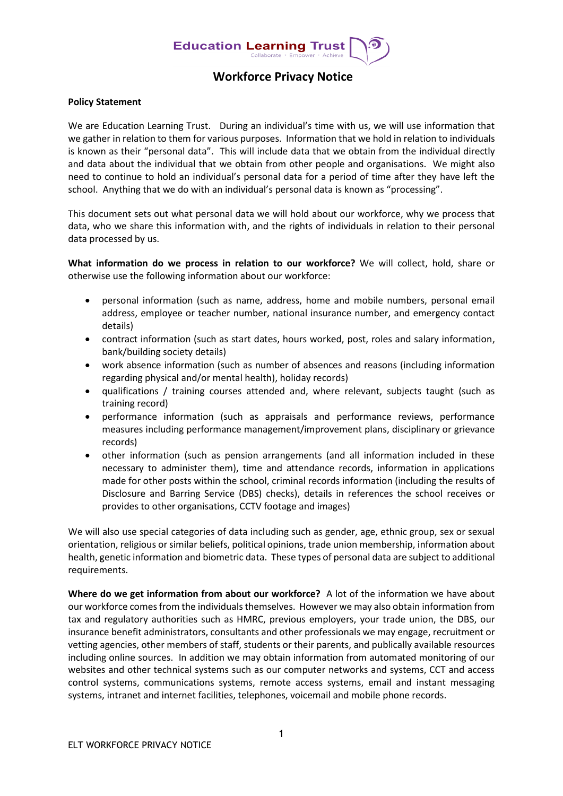

## **Workforce Privacy Notice**

## **Policy Statement**

We are Education Learning Trust. During an individual's time with us, we will use information that we gather in relation to them for various purposes. Information that we hold in relation to individuals is known as their "personal data". This will include data that we obtain from the individual directly and data about the individual that we obtain from other people and organisations. We might also need to continue to hold an individual's personal data for a period of time after they have left the school. Anything that we do with an individual's personal data is known as "processing".

This document sets out what personal data we will hold about our workforce, why we process that data, who we share this information with, and the rights of individuals in relation to their personal data processed by us.

**What information do we process in relation to our workforce?** We will collect, hold, share or otherwise use the following information about our workforce:

- personal information (such as name, address, home and mobile numbers, personal email address, employee or teacher number, national insurance number, and emergency contact details)
- contract information (such as start dates, hours worked, post, roles and salary information, bank/building society details)
- work absence information (such as number of absences and reasons (including information regarding physical and/or mental health), holiday records)
- qualifications / training courses attended and, where relevant, subjects taught (such as training record)
- performance information (such as appraisals and performance reviews, performance measures including performance management/improvement plans, disciplinary or grievance records)
- other information (such as pension arrangements (and all information included in these necessary to administer them), time and attendance records, information in applications made for other posts within the school, criminal records information (including the results of Disclosure and Barring Service (DBS) checks), details in references the school receives or provides to other organisations, CCTV footage and images)

We will also use special categories of data including such as gender, age, ethnic group, sex or sexual orientation, religious or similar beliefs, political opinions, trade union membership, information about health, genetic information and biometric data. These types of personal data are subject to additional requirements.

**Where do we get information from about our workforce?** A lot of the information we have about our workforce comes from the individuals themselves. However we may also obtain information from tax and regulatory authorities such as HMRC, previous employers, your trade union, the DBS, our insurance benefit administrators, consultants and other professionals we may engage, recruitment or vetting agencies, other members of staff, students or their parents, and publically available resources including online sources. In addition we may obtain information from automated monitoring of our websites and other technical systems such as our computer networks and systems, CCT and access control systems, communications systems, remote access systems, email and instant messaging systems, intranet and internet facilities, telephones, voicemail and mobile phone records.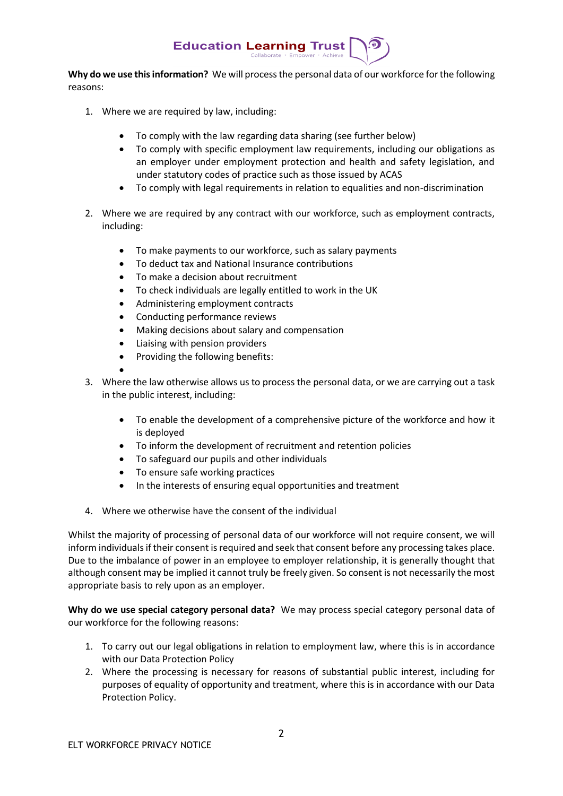

**Why do we use this information?** We will process the personal data of our workforce for the following reasons:

- 1. Where we are required by law, including:
	- To comply with the law regarding data sharing (see further below)
	- To comply with specific employment law requirements, including our obligations as an employer under employment protection and health and safety legislation, and under statutory codes of practice such as those issued by ACAS
	- To comply with legal requirements in relation to equalities and non-discrimination
- 2. Where we are required by any contract with our workforce, such as employment contracts, including:
	- To make payments to our workforce, such as salary payments
	- To deduct tax and National Insurance contributions
	- To make a decision about recruitment
	- To check individuals are legally entitled to work in the UK
	- Administering employment contracts
	- Conducting performance reviews
	- Making decisions about salary and compensation
	- Liaising with pension providers
	- Providing the following benefits:
	- •
- 3. Where the law otherwise allows us to process the personal data, or we are carrying out a task in the public interest, including:
	- To enable the development of a comprehensive picture of the workforce and how it is deployed
	- To inform the development of recruitment and retention policies
	- To safeguard our pupils and other individuals
	- To ensure safe working practices
	- In the interests of ensuring equal opportunities and treatment
- 4. Where we otherwise have the consent of the individual

Whilst the majority of processing of personal data of our workforce will not require consent, we will inform individualsif their consent is required and seek that consent before any processing takes place. Due to the imbalance of power in an employee to employer relationship, it is generally thought that although consent may be implied it cannot truly be freely given. So consent is not necessarily the most appropriate basis to rely upon as an employer.

**Why do we use special category personal data?** We may process special category personal data of our workforce for the following reasons:

- 1. To carry out our legal obligations in relation to employment law, where this is in accordance with our Data Protection Policy
- 2. Where the processing is necessary for reasons of substantial public interest, including for purposes of equality of opportunity and treatment, where this is in accordance with our Data Protection Policy.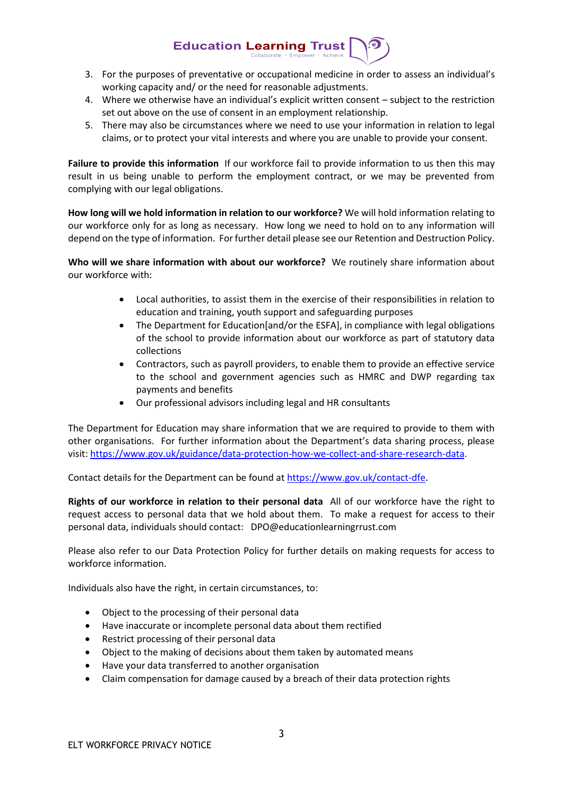3. For the purposes of preventative or occupational medicine in order to assess an individual's working capacity and/ or the need for reasonable adjustments.

**Education Learning Trust** 

- 4. Where we otherwise have an individual's explicit written consent subject to the restriction set out above on the use of consent in an employment relationship.
- 5. There may also be circumstances where we need to use your information in relation to legal claims, or to protect your vital interests and where you are unable to provide your consent.

**Failure to provide this information** If our workforce fail to provide information to us then this may result in us being unable to perform the employment contract, or we may be prevented from complying with our legal obligations.

**How long will we hold information in relation to our workforce?** We will hold information relating to our workforce only for as long as necessary. How long we need to hold on to any information will depend on the type of information. For further detail please see our Retention and Destruction Policy.

**Who will we share information with about our workforce?** We routinely share information about our workforce with:

- Local authorities, to assist them in the exercise of their responsibilities in relation to education and training, youth support and safeguarding purposes
- The Department for Education[and/or the ESFA], in compliance with legal obligations of the school to provide information about our workforce as part of statutory data collections
- Contractors, such as payroll providers, to enable them to provide an effective service to the school and government agencies such as HMRC and DWP regarding tax payments and benefits
- Our professional advisors including legal and HR consultants

The Department for Education may share information that we are required to provide to them with other organisations. For further information about the Department's data sharing process, please visit[: https://www.gov.uk/guidance/data-protection-how-we-collect-and-share-research-data.](https://www.gov.uk/guidance/data-protection-how-we-collect-and-share-research-data)

Contact details for the Department can be found a[t https://www.gov.uk/contact-dfe.](https://www.gov.uk/contact-dfe)

**Rights of our workforce in relation to their personal data** All of our workforce have the right to request access to personal data that we hold about them. To make a request for access to their personal data, individuals should contact: DPO@educationlearningrrust.com

Please also refer to our Data Protection Policy for further details on making requests for access to workforce information.

Individuals also have the right, in certain circumstances, to:

- Object to the processing of their personal data
- Have inaccurate or incomplete personal data about them rectified
- Restrict processing of their personal data
- Object to the making of decisions about them taken by automated means
- Have your data transferred to another organisation
- Claim compensation for damage caused by a breach of their data protection rights